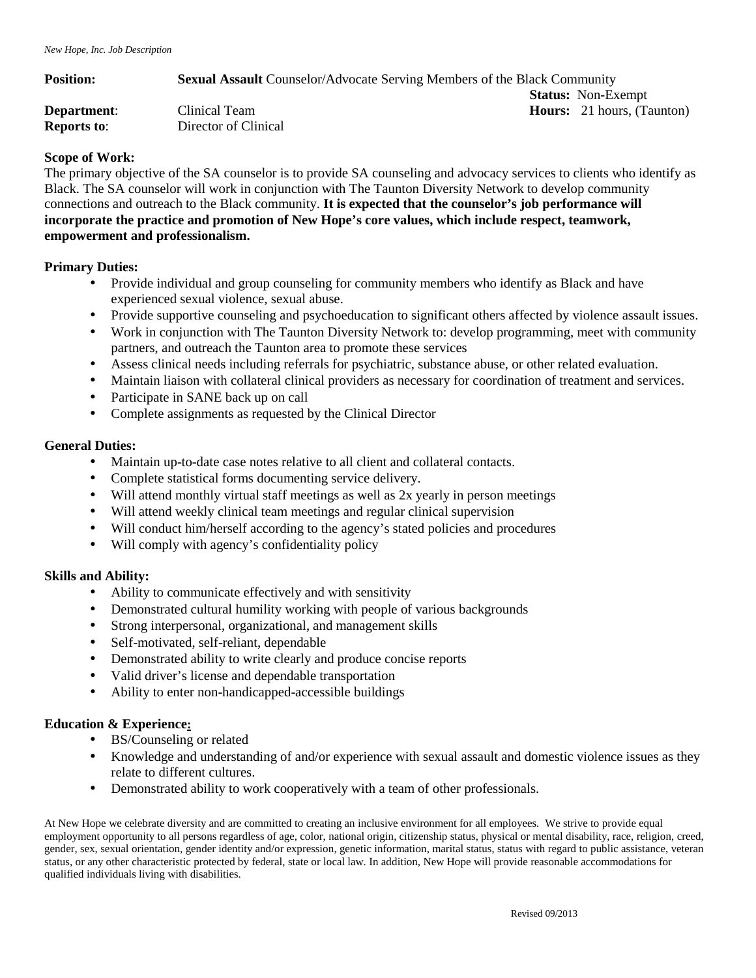| <b>Position:</b>   | <b>Sexual Assault Counselor/Advocate Serving Members of the Black Community</b> |  |                                   |
|--------------------|---------------------------------------------------------------------------------|--|-----------------------------------|
|                    |                                                                                 |  | <b>Status:</b> Non-Exempt         |
| Department:        | Clinical Team                                                                   |  | <b>Hours:</b> 21 hours, (Taunton) |
| <b>Reports to:</b> | Director of Clinical                                                            |  |                                   |

## **Scope of Work:**

The primary objective of the SA counselor is to provide SA counseling and advocacy services to clients who identify as Black. The SA counselor will work in conjunction with The Taunton Diversity Network to develop community connections and outreach to the Black community. **It is expected that the counselor's job performance will incorporate the practice and promotion of New Hope's core values, which include respect, teamwork, empowerment and professionalism.** 

### **Primary Duties:**

- Provide individual and group counseling for community members who identify as Black and have experienced sexual violence, sexual abuse.
- Provide supportive counseling and psychoeducation to significant others affected by violence assault issues.
- Work in conjunction with The Taunton Diversity Network to: develop programming, meet with community partners, and outreach the Taunton area to promote these services
- Assess clinical needs including referrals for psychiatric, substance abuse, or other related evaluation.
- Maintain liaison with collateral clinical providers as necessary for coordination of treatment and services.
- Participate in SANE back up on call
- Complete assignments as requested by the Clinical Director

### **General Duties:**

- Maintain up-to-date case notes relative to all client and collateral contacts.
- Complete statistical forms documenting service delivery.
- Will attend monthly virtual staff meetings as well as 2x yearly in person meetings
- Will attend weekly clinical team meetings and regular clinical supervision
- Will conduct him/herself according to the agency's stated policies and procedures
- Will comply with agency's confidentiality policy

# **Skills and Ability:**

- Ability to communicate effectively and with sensitivity
- Demonstrated cultural humility working with people of various backgrounds
- Strong interpersonal, organizational, and management skills
- Self-motivated, self-reliant, dependable
- Demonstrated ability to write clearly and produce concise reports
- Valid driver's license and dependable transportation
- Ability to enter non-handicapped-accessible buildings

# **Education & Experience:**

- BS/Counseling or related
- Knowledge and understanding of and/or experience with sexual assault and domestic violence issues as they relate to different cultures.
- Demonstrated ability to work cooperatively with a team of other professionals.

At New Hope we celebrate diversity and are committed to creating an inclusive environment for all employees. We strive to provide equal employment opportunity to all persons regardless of age, color, national origin, citizenship status, physical or mental disability, race, religion, creed, gender, sex, sexual orientation, gender identity and/or expression, genetic information, marital status, status with regard to public assistance, veteran status, or any other characteristic protected by federal, state or local law. In addition, New Hope will provide reasonable accommodations for qualified individuals living with disabilities.